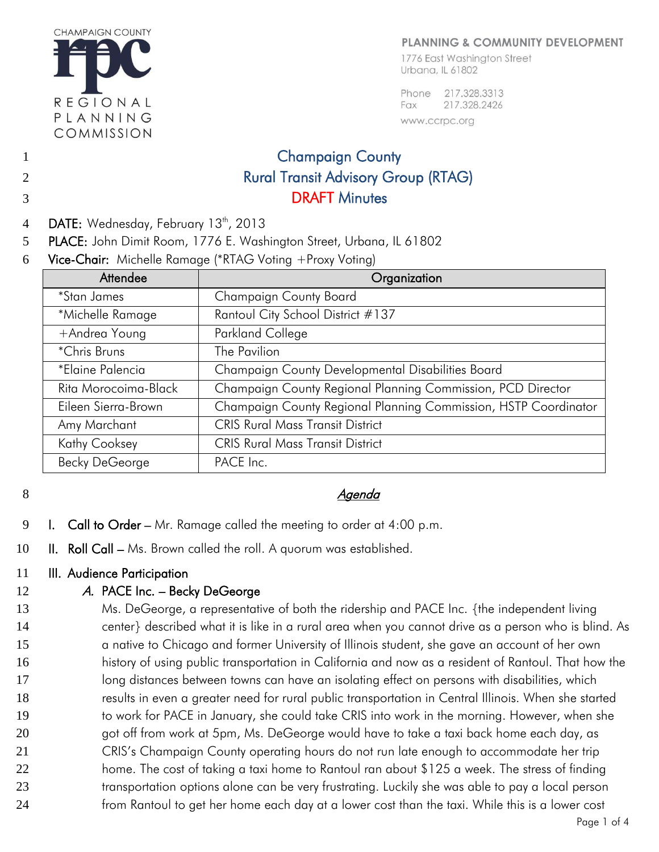

#### PLANNING & COMMUNITY DEVELOPMENT

1776 East Washington Street Urbana, IL 61802

Phone 217.328.3313 217.328.2426 Fax www.ccrpc.org

# 1 Champaign County 2 Rural Transit Advisory Group (RTAG) 3 DRAFT Minutes

- 4 DATE: Wednesday, February 13<sup>th</sup>, 2013
- 5 PLACE: John Dimit Room, 1776 E. Washington Street, Urbana, IL 61802
- 6 Vice-Chair: Michelle Ramage (\*RTAG Voting +Proxy Voting)

| Attendee              | Organization                                                    |
|-----------------------|-----------------------------------------------------------------|
| <i>*Stan James</i>    | <b>Champaign County Board</b>                                   |
| *Michelle Ramage      | Rantoul City School District #137                               |
| +Andrea Young         | Parkland College                                                |
| *Chris Bruns          | The Pavilion                                                    |
| *Elaine Palencia      | Champaign County Developmental Disabilities Board               |
| Rita Morocoima-Black  | Champaign County Regional Planning Commission, PCD Director     |
| Eileen Sierra-Brown   | Champaign County Regional Planning Commission, HSTP Coordinator |
| Amy Marchant          | <b>CRIS Rural Mass Transit District</b>                         |
| Kathy Cooksey         | <b>CRIS Rural Mass Transit District</b>                         |
| <b>Becky DeGeorge</b> | PACE Inc.                                                       |

## 8 Agenda Agenda Agenda Agenda Agenda Agenda Agenda Agenda Agenda Agenda Agenda Agenda Agenda Agenda Agenda Agenda Agenda Agenda Agenda Agenda Agenda Agenda Agenda Agenda Agenda Agenda Agenda Agenda Agenda Agenda Agenda Age

- 9 I. Call to Order Mr. Ramage called the meeting to order at  $4:00$  p.m.
- 10 II. Roll Call Ms. Brown called the roll. A quorum was established.

### 11 **III.** Audience Participation

## 12 A. PACE Inc. – Becky DeGeorge

13 Ms. DeGeorge, a representative of both the ridership and PACE Inc. {the independent living 14 center} described what it is like in a rural area when you cannot drive as a person who is blind. As 15 a native to Chicago and former University of Illinois student, she gave an account of her own 16 history of using public transportation in California and now as a resident of Rantoul. That how the 17 long distances between towns can have an isolating effect on persons with disabilities, which 18 results in even a greater need for rural public transportation in Central Illinois. When she started 19 to work for PACE in January, she could take CRIS into work in the morning. However, when she 20 and off from work at 5pm, Ms. DeGeorge would have to take a taxi back home each day, as 21 CRIS's Champaign County operating hours do not run late enough to accommodate her trip 22 home. The cost of taking a taxi home to Rantoul ran about \$125 a week. The stress of finding 23 transportation options alone can be very frustrating. Luckily she was able to pay a local person 24 from Rantoul to get her home each day at a lower cost than the taxi. While this is a lower cost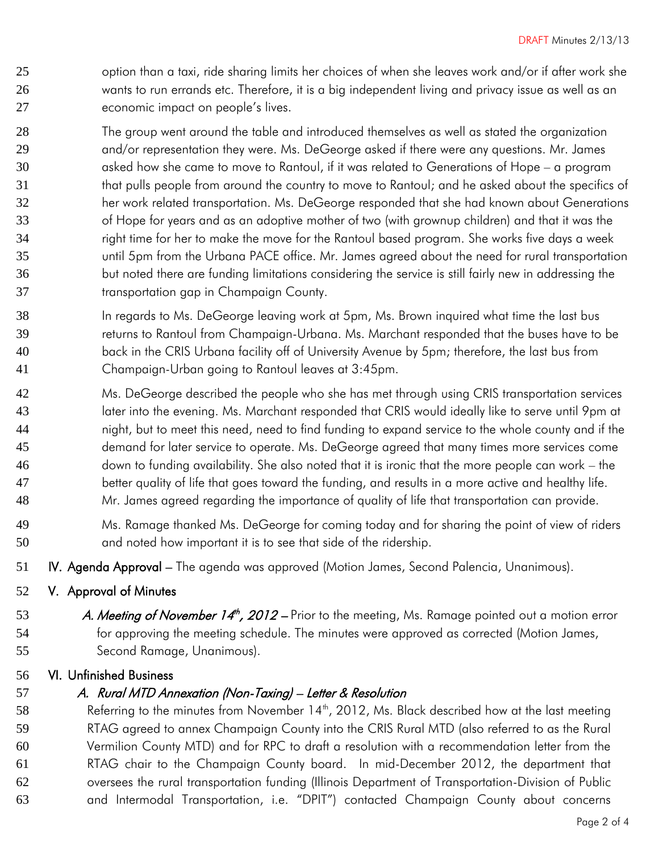- 25 option than a taxi, ride sharing limits her choices of when she leaves work and/or if after work she wants to run errands etc. Therefore, it is a big independent living and privacy issue as well as an economic impact on people's lives.
- The group went around the table and introduced themselves as well as stated the organization 29 and/or representation they were. Ms. DeGeorge asked if there were any questions. Mr. James asked how she came to move to Rantoul, if it was related to Generations of Hope – a program that pulls people from around the country to move to Rantoul; and he asked about the specifics of her work related transportation. Ms. DeGeorge responded that she had known about Generations of Hope for years and as an adoptive mother of two (with grownup children) and that it was the right time for her to make the move for the Rantoul based program. She works five days a week until 5pm from the Urbana PACE office. Mr. James agreed about the need for rural transportation but noted there are funding limitations considering the service is still fairly new in addressing the transportation gap in Champaign County.
- In regards to Ms. DeGeorge leaving work at 5pm, Ms. Brown inquired what time the last bus returns to Rantoul from Champaign-Urbana. Ms. Marchant responded that the buses have to be back in the CRIS Urbana facility off of University Avenue by 5pm; therefore, the last bus from Champaign-Urban going to Rantoul leaves at 3:45pm.
- Ms. DeGeorge described the people who she has met through using CRIS transportation services later into the evening. Ms. Marchant responded that CRIS would ideally like to serve until 9pm at night, but to meet this need, need to find funding to expand service to the whole county and if the demand for later service to operate. Ms. DeGeorge agreed that many times more services come down to funding availability. She also noted that it is ironic that the more people can work – the better quality of life that goes toward the funding, and results in a more active and healthy life. Mr. James agreed regarding the importance of quality of life that transportation can provide.
- Ms. Ramage thanked Ms. DeGeorge for coming today and for sharing the point of view of riders and noted how important it is to see that side of the ridership.
- **IV. Agenda Approval** The agenda was approved (Motion James, Second Palencia, Unanimous).
- V. Approval of Minutes
- 53 A. Meeting of November 14<sup>th</sup>, 2012 Prior to the meeting, Ms. Ramage pointed out a motion error for approving the meeting schedule. The minutes were approved as corrected (Motion James, Second Ramage, Unanimous).

### VI. Unfinished Business

### 57 A. Rural MTD Annexation (Non-Taxing) – Letter & Resolution

58 Referring to the minutes from November  $14<sup>th</sup>$ , 2012, Ms. Black described how at the last meeting RTAG agreed to annex Champaign County into the CRIS Rural MTD (also referred to as the Rural Vermilion County MTD) and for RPC to draft a resolution with a recommendation letter from the RTAG chair to the Champaign County board. In mid-December 2012, the department that oversees the rural transportation funding (Illinois Department of Transportation-Division of Public and Intermodal Transportation, i.e. "DPIT") contacted Champaign County about concerns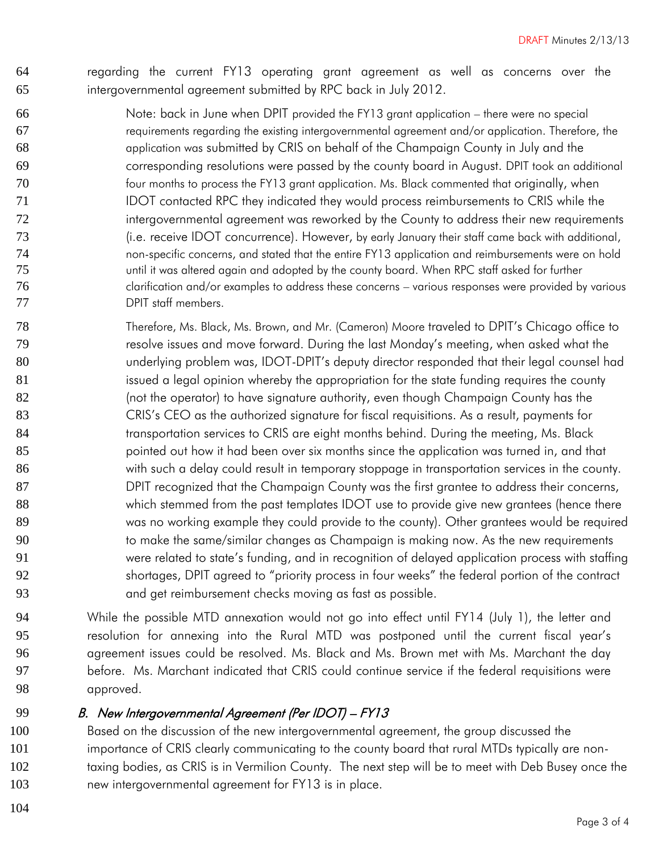regarding the current FY13 operating grant agreement as well as concerns over the intergovernmental agreement submitted by RPC back in July 2012.

- Note: back in June when DPIT provided the FY13 grant application there were no special requirements regarding the existing intergovernmental agreement and/or application. Therefore, the application was submitted by CRIS on behalf of the Champaign County in July and the corresponding resolutions were passed by the county board in August. DPIT took an additional four months to process the FY13 grant application. Ms. Black commented that originally, when 71 IDOT contacted RPC they indicated they would process reimbursements to CRIS while the 72 intergovernmental agreement was reworked by the County to address their new requirements (i.e. receive IDOT concurrence). However, by early January their staff came back with additional, non-specific concerns, and stated that the entire FY13 application and reimbursements were on hold until it was altered again and adopted by the county board. When RPC staff asked for further clarification and/or examples to address these concerns – various responses were provided by various DPIT staff members.
- Therefore, Ms. Black, Ms. Brown, and Mr. (Cameron) Moore traveled to DPIT's Chicago office to resolve issues and move forward. During the last Monday's meeting, when asked what the underlying problem was, IDOT-DPIT's deputy director responded that their legal counsel had 81 issued a legal opinion whereby the appropriation for the state funding requires the county (not the operator) to have signature authority, even though Champaign County has the 83 CRIS's CEO as the authorized signature for fiscal requisitions. As a result, payments for 84 transportation services to CRIS are eight months behind. During the meeting, Ms. Black 85 bointed out how it had been over six months since the application was turned in, and that with such a delay could result in temporary stoppage in transportation services in the county. DPIT recognized that the Champaign County was the first grantee to address their concerns, which stemmed from the past templates IDOT use to provide give new grantees (hence there was no working example they could provide to the county). Other grantees would be required to make the same/similar changes as Champaign is making now. As the new requirements were related to state's funding, and in recognition of delayed application process with staffing shortages, DPIT agreed to "priority process in four weeks" the federal portion of the contract and get reimbursement checks moving as fast as possible.
- While the possible MTD annexation would not go into effect until FY14 (July 1), the letter and resolution for annexing into the Rural MTD was postponed until the current fiscal year's agreement issues could be resolved. Ms. Black and Ms. Brown met with Ms. Marchant the day before. Ms. Marchant indicated that CRIS could continue service if the federal requisitions were approved.

### 99 B. New Intergovernmental Agreement (Per IDOT) – FY13

 Based on the discussion of the new intergovernmental agreement, the group discussed the importance of CRIS clearly communicating to the county board that rural MTDs typically are non-102 taxing bodies, as CRIS is in Vermilion County. The next step will be to meet with Deb Busey once the new intergovernmental agreement for FY13 is in place.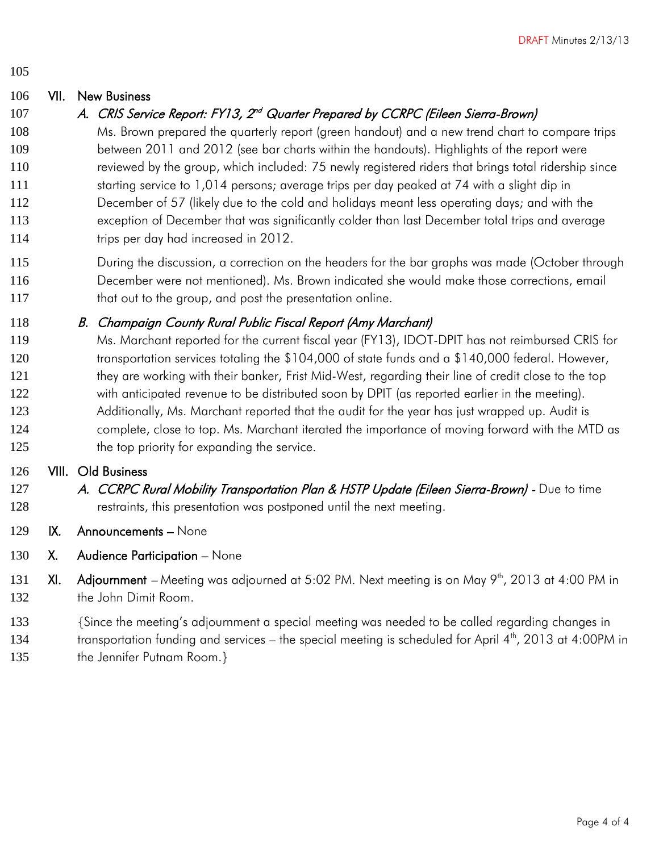105

## 106 VII. New Business

## 107 A. CRIS Service Report: FY13, 2<sup>nd</sup> Quarter Prepared by CCRPC (Eileen Sierra-Brown)

 Ms. Brown prepared the quarterly report (green handout) and a new trend chart to compare trips between 2011 and 2012 (see bar charts within the handouts). Highlights of the report were reviewed by the group, which included: 75 newly registered riders that brings total ridership since 111 starting service to 1,014 persons; average trips per day peaked at 74 with a slight dip in December of 57 (likely due to the cold and holidays meant less operating days; and with the exception of December that was significantly colder than last December total trips and average 114 trips per day had increased in 2012.

115 During the discussion, a correction on the headers for the bar graphs was made (October through 116 December were not mentioned). Ms. Brown indicated she would make those corrections, email 117 that out to the group, and post the presentation online.

## 118 B. Champaign County Rural Public Fiscal Report (Amy Marchant)

119 Ms. Marchant reported for the current fiscal year (FY13), IDOT-DPIT has not reimbursed CRIS for 120 transportation services totaling the \$104,000 of state funds and a \$140,000 federal. However, 121 they are working with their banker, Frist Mid-West, regarding their line of credit close to the top 122 with anticipated revenue to be distributed soon by DPIT (as reported earlier in the meeting). 123 Additionally, Ms. Marchant reported that the audit for the year has just wrapped up. Audit is 124 complete, close to top. Ms. Marchant iterated the importance of moving forward with the MTD as 125 the top priority for expanding the service.

### 126 VIII. Old Business

- 127 A. CCRPC Rural Mobility Transportation Plan & HSTP Update (Eileen Sierra-Brown) Due to time 128 **restraints, this presentation was postponed until the next meeting.**
- 129 IX. Announcements None
- 130 X. Audience Participation None
- 131 XI. Adjournment Meeting was adjourned at 5:02 PM. Next meeting is on May  $9<sup>th</sup>$ , 2013 at 4:00 PM in 132 the John Dimit Room.
- 133 {Since the meeting's adjournment a special meeting was needed to be called regarding changes in
- 134 transportation funding and services the special meeting is scheduled for April 4<sup>th</sup>, 2013 at 4:00PM in
- 135 the Jennifer Putnam Room.}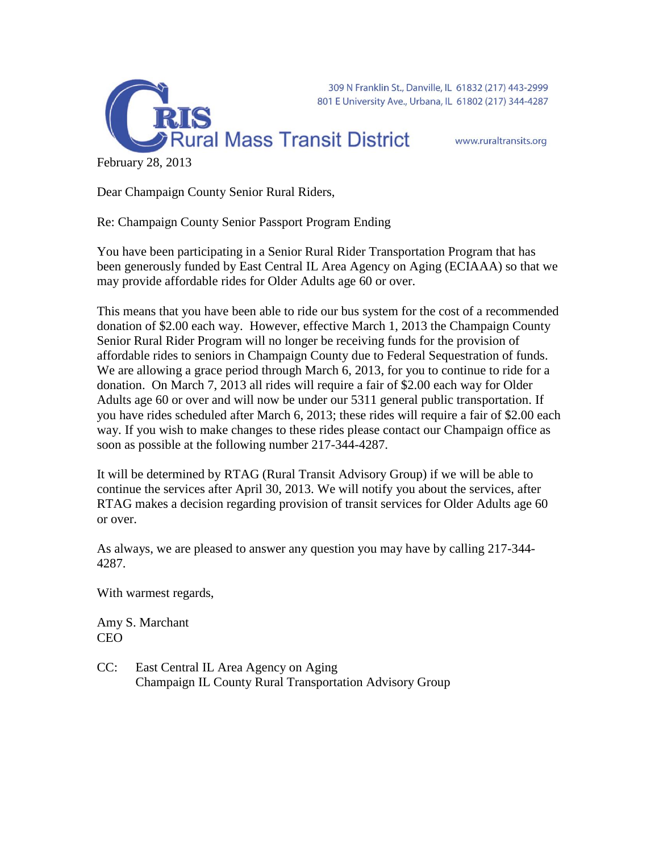



www.ruraltransits.org

February 28, 2013

Dear Champaign County Senior Rural Riders,

RTS

Re: Champaign County Senior Passport Program Ending

You have been participating in a Senior Rural Rider Transportation Program that has been generously funded by East Central IL Area Agency on Aging (ECIAAA) so that we may provide affordable rides for Older Adults age 60 or over.

This means that you have been able to ride our bus system for the cost of a recommended donation of \$2.00 each way. However, effective March 1, 2013 the Champaign County Senior Rural Rider Program will no longer be receiving funds for the provision of affordable rides to seniors in Champaign County due to Federal Sequestration of funds. We are allowing a grace period through March 6, 2013, for you to continue to ride for a donation. On March 7, 2013 all rides will require a fair of \$2.00 each way for Older Adults age 60 or over and will now be under our 5311 general public transportation. If you have rides scheduled after March 6, 2013; these rides will require a fair of \$2.00 each way. If you wish to make changes to these rides please contact our Champaign office as soon as possible at the following number 217-344-4287.

It will be determined by RTAG (Rural Transit Advisory Group) if we will be able to continue the services after April 30, 2013. We will notify you about the services, after RTAG makes a decision regarding provision of transit services for Older Adults age 60 or over.

As always, we are pleased to answer any question you may have by calling 217-344- 4287.

With warmest regards,

Amy S. Marchant CEO

CC: East Central IL Area Agency on Aging Champaign IL County Rural Transportation Advisory Group